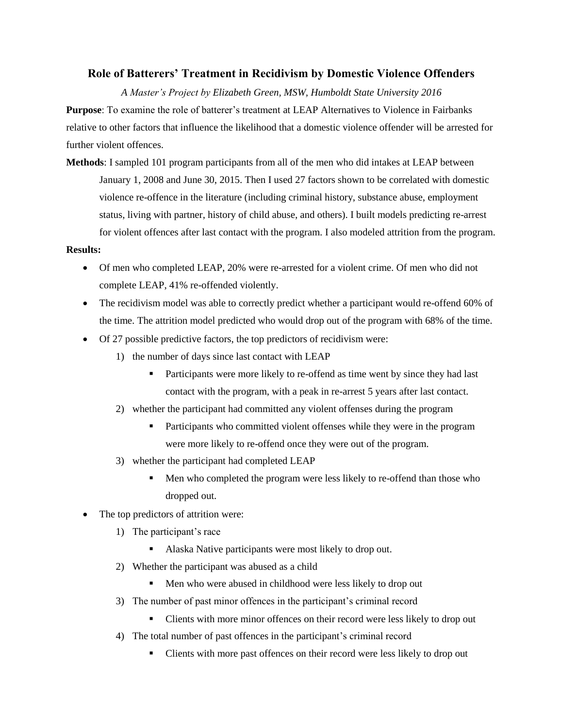## **Role of Batterers' Treatment in Recidivism by Domestic Violence Offenders**

*A Master's Project by Elizabeth Green, MSW, Humboldt State University 2016*

**Purpose**: To examine the role of batterer's treatment at LEAP Alternatives to Violence in Fairbanks relative to other factors that influence the likelihood that a domestic violence offender will be arrested for further violent offences.

**Methods**: I sampled 101 program participants from all of the men who did intakes at LEAP between January 1, 2008 and June 30, 2015. Then I used 27 factors shown to be correlated with domestic violence re-offence in the literature (including criminal history, substance abuse, employment status, living with partner, history of child abuse, and others). I built models predicting re-arrest for violent offences after last contact with the program. I also modeled attrition from the program.

## **Results:**

- Of men who completed LEAP, 20% were re-arrested for a violent crime. Of men who did not complete LEAP, 41% re-offended violently.
- The recidivism model was able to correctly predict whether a participant would re-offend 60% of the time. The attrition model predicted who would drop out of the program with 68% of the time.
- Of 27 possible predictive factors, the top predictors of recidivism were:
	- 1) the number of days since last contact with LEAP
		- Participants were more likely to re-offend as time went by since they had last contact with the program, with a peak in re-arrest 5 years after last contact.
	- 2) whether the participant had committed any violent offenses during the program
		- Participants who committed violent offenses while they were in the program were more likely to re-offend once they were out of the program.
	- 3) whether the participant had completed LEAP
		- Men who completed the program were less likely to re-offend than those who dropped out.
- The top predictors of attrition were:
	- 1) The participant's race
		- Alaska Native participants were most likely to drop out.
	- 2) Whether the participant was abused as a child
		- Men who were abused in childhood were less likely to drop out
	- 3) The number of past minor offences in the participant's criminal record
		- Clients with more minor offences on their record were less likely to drop out
	- 4) The total number of past offences in the participant's criminal record
		- Clients with more past offences on their record were less likely to drop out